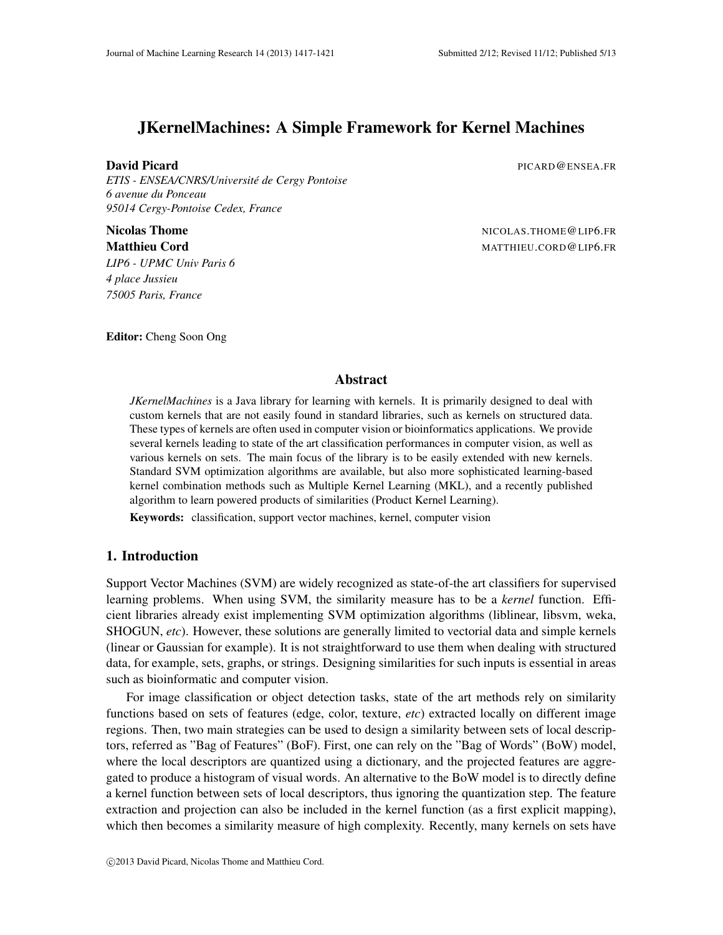# JKernelMachines: A Simple Framework for Kernel Machines

**David Picard Picard Picard Picard Picard Picard Picard Picard Picard Picard Picard Picard Picard Picard Picard Picard Picard Picard Picard Picard Picard Picard Picard Picard Picard Picard Picard Picard Picard Picard Picar** 

*ETIS - ENSEA/CNRS/Universite de Cergy Pontoise ´ 6 avenue du Ponceau 95014 Cergy-Pontoise Cedex, France*

*LIP6 - UPMC Univ Paris 6 4 place Jussieu 75005 Paris, France*

Nicolas Thome NICOLAS.THOME@LIP6.FR Matthieu Cord **Matthieu Cord MATTHIEU.CORD@LIP6.FR** 

Editor: Cheng Soon Ong

#### Abstract

*JKernelMachines* is a Java library for learning with kernels. It is primarily designed to deal with custom kernels that are not easily found in standard libraries, such as kernels on structured data. These types of kernels are often used in computer vision or bioinformatics applications. We provide several kernels leading to state of the art classification performances in computer vision, as well as various kernels on sets. The main focus of the library is to be easily extended with new kernels. Standard SVM optimization algorithms are available, but also more sophisticated learning-based kernel combination methods such as Multiple Kernel Learning (MKL), and a recently published algorithm to learn powered products of similarities (Product Kernel Learning).

Keywords: classification, support vector machines, kernel, computer vision

## 1. Introduction

Support Vector Machines (SVM) are widely recognized as state-of-the art classifiers for supervised learning problems. When using SVM, the similarity measure has to be a *kernel* function. Efficient libraries already exist implementing SVM optimization algorithms (liblinear, libsvm, weka, SHOGUN, *etc*). However, these solutions are generally limited to vectorial data and simple kernels (linear or Gaussian for example). It is not straightforward to use them when dealing with structured data, for example, sets, graphs, or strings. Designing similarities for such inputs is essential in areas such as bioinformatic and computer vision.

For image classification or object detection tasks, state of the art methods rely on similarity functions based on sets of features (edge, color, texture, *etc*) extracted locally on different image regions. Then, two main strategies can be used to design a similarity between sets of local descriptors, referred as "Bag of Features" (BoF). First, one can rely on the "Bag of Words" (BoW) model, where the local descriptors are quantized using a dictionary, and the projected features are aggregated to produce a histogram of visual words. An alternative to the BoW model is to directly define a kernel function between sets of local descriptors, thus ignoring the quantization step. The feature extraction and projection can also be included in the kernel function (as a first explicit mapping), which then becomes a similarity measure of high complexity. Recently, many kernels on sets have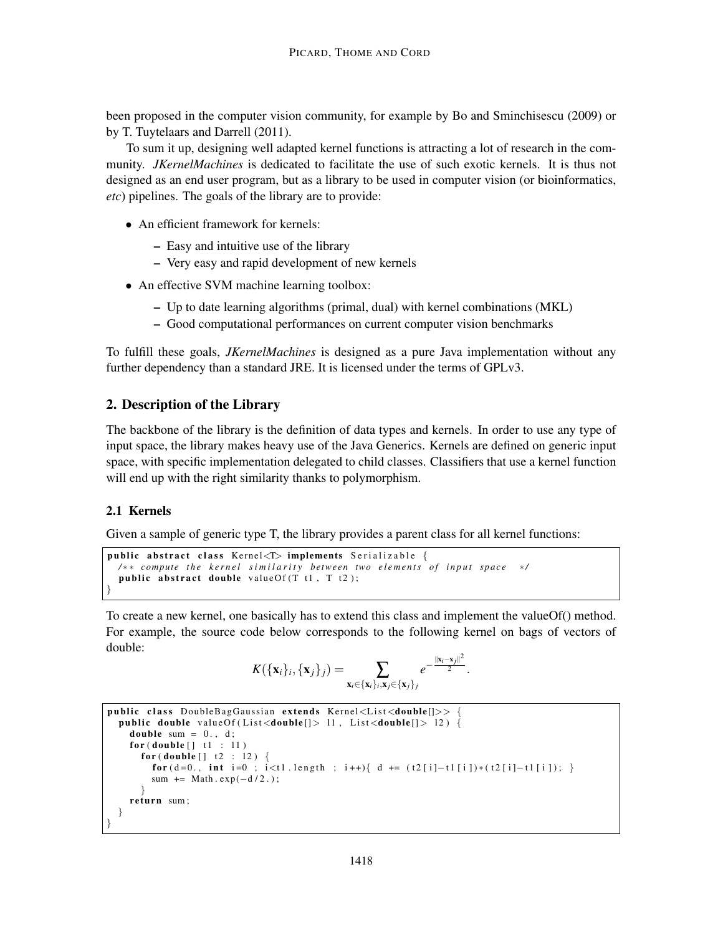been proposed in the computer vision community, for example by Bo and Sminchisescu (2009) or by T. Tuytelaars and Darrell (2011).

To sum it up, designing well adapted kernel functions is attracting a lot of research in the community. *JKernelMachines* is dedicated to facilitate the use of such exotic kernels. It is thus not designed as an end user program, but as a library to be used in computer vision (or bioinformatics, *etc*) pipelines. The goals of the library are to provide:

- An efficient framework for kernels:
	- Easy and intuitive use of the library
	- Very easy and rapid development of new kernels
- An effective SVM machine learning toolbox:
	- Up to date learning algorithms (primal, dual) with kernel combinations (MKL)
	- Good computational performances on current computer vision benchmarks

To fulfill these goals, *JKernelMachines* is designed as a pure Java implementation without any further dependency than a standard JRE. It is licensed under the terms of GPLv3.

# 2. Description of the Library

The backbone of the library is the definition of data types and kernels. In order to use any type of input space, the library makes heavy use of the Java Generics. Kernels are defined on generic input space, with specific implementation delegated to child classes. Classifiers that use a kernel function will end up with the right similarity thanks to polymorphism.

## 2.1 Kernels

Given a sample of generic type T, the library provides a parent class for all kernel functions:

```
public abstract class Kernel\leq implements Serializable {
  / ∗ ∗ c om p ute t h e k e r n e l s i m i l a r i t y b etw e e n two e l e m e n t s o f i n p u t s p a c e ∗ /
  public abstract double value Of (T t1, T t2);
}
```
To create a new kernel, one basically has to extend this class and implement the valueOf() method. For example, the source code below corresponds to the following kernel on bags of vectors of double:

$$
K(\{\mathbf{x}_i\}_i, \{\mathbf{x}_j\}_j) = \sum_{\mathbf{x}_i \in \{\mathbf{x}_i\}_i, \mathbf{x}_j \in \{\mathbf{x}_j\}_j} e^{-\frac{\|\mathbf{x}_i - \mathbf{x}_j\|^2}{2}}.
$$

```
public class DoubleBagGaussian extends Kernel<List<double[]>>
  public double valueOf(List<double[]> 11, List<double[]> 12) {
    double sum = 0., d;
    for (double \mid 1 : 11)for (double [ ] t2 : 12 ) \{for (d=0., int i=0; i \lt t1. length; i++){ d += (t2[i]-t1[i])*(t2[i]-t1[i]);}
        sum += Math . exp(-d/2.);
      }
    return sum;
  }
}
```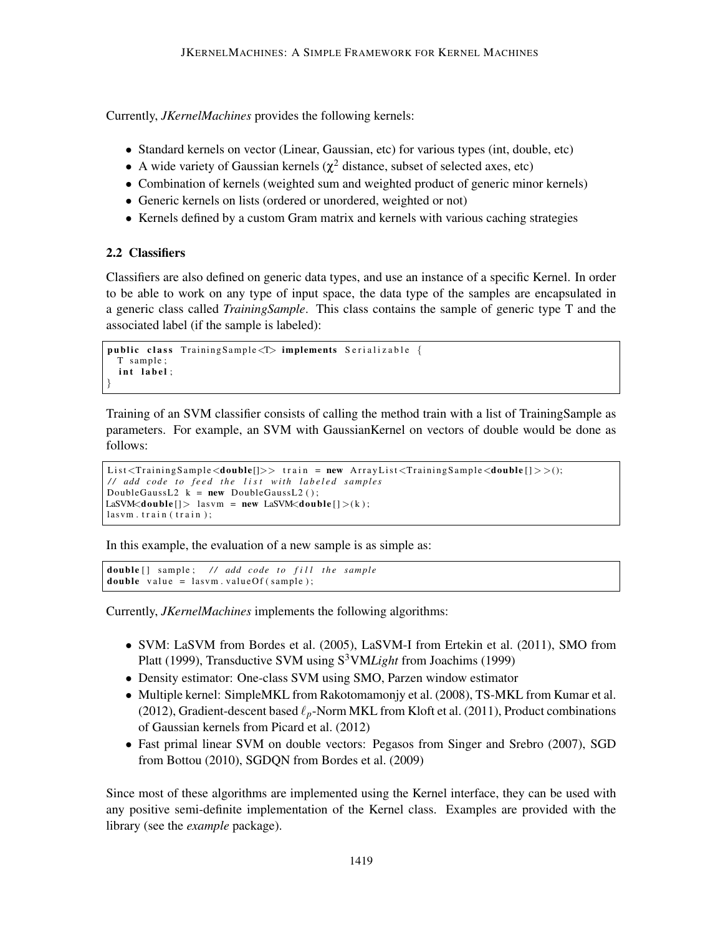Currently, *JKernelMachines* provides the following kernels:

- Standard kernels on vector (Linear, Gaussian, etc) for various types (int, double, etc)
- A wide variety of Gaussian kernels ( $\chi^2$  distance, subset of selected axes, etc)
- Combination of kernels (weighted sum and weighted product of generic minor kernels)
- Generic kernels on lists (ordered or unordered, weighted or not)
- Kernels defined by a custom Gram matrix and kernels with various caching strategies

# 2.2 Classifiers

Classifiers are also defined on generic data types, and use an instance of a specific Kernel. In order to be able to work on any type of input space, the data type of the samples are encapsulated in a generic class called *TrainingSample*. This class contains the sample of generic type T and the associated label (if the sample is labeled):

```
public class Training Sample<T> implements Serializable {
 T sample:
  int label:
}
```
Training of an SVM classifier consists of calling the method train with a list of TrainingSample as parameters. For example, an SVM with GaussianKernel on vectors of double would be done as follows:

```
List <Training Sample \langle double[] \rangle train = new Array List \langle TrainingSample \langle double[] \rangle > ();
// add code to feed the list with labeled samples
DoubleGaussL2 k = new DoubleGaussL2();
LaSVM<double [] > lasvm = new LaSVM<double [] >(k);
lasym. train (train):
```
In this example, the evaluation of a new sample is as simple as:

```
double [] sample; // add code to fill the sample
double value = lasvm. valueOf (sample);
```
Currently, *JKernelMachines* implements the following algorithms:

- SVM: LaSVM from Bordes et al. (2005), LaSVM-I from Ertekin et al. (2011), SMO from Platt (1999), Transductive SVM using S<sup>3</sup>VM*Light* from Joachims (1999)
- Density estimator: One-class SVM using SMO, Parzen window estimator
- Multiple kernel: SimpleMKL from Rakotomamonjy et al. (2008), TS-MKL from Kumar et al. (2012), Gradient-descent based  $\ell_p$ -Norm MKL from Kloft et al. (2011), Product combinations of Gaussian kernels from Picard et al. (2012)
- Fast primal linear SVM on double vectors: Pegasos from Singer and Srebro (2007), SGD from Bottou (2010), SGDQN from Bordes et al. (2009)

Since most of these algorithms are implemented using the Kernel interface, they can be used with any positive semi-definite implementation of the Kernel class. Examples are provided with the library (see the *example* package).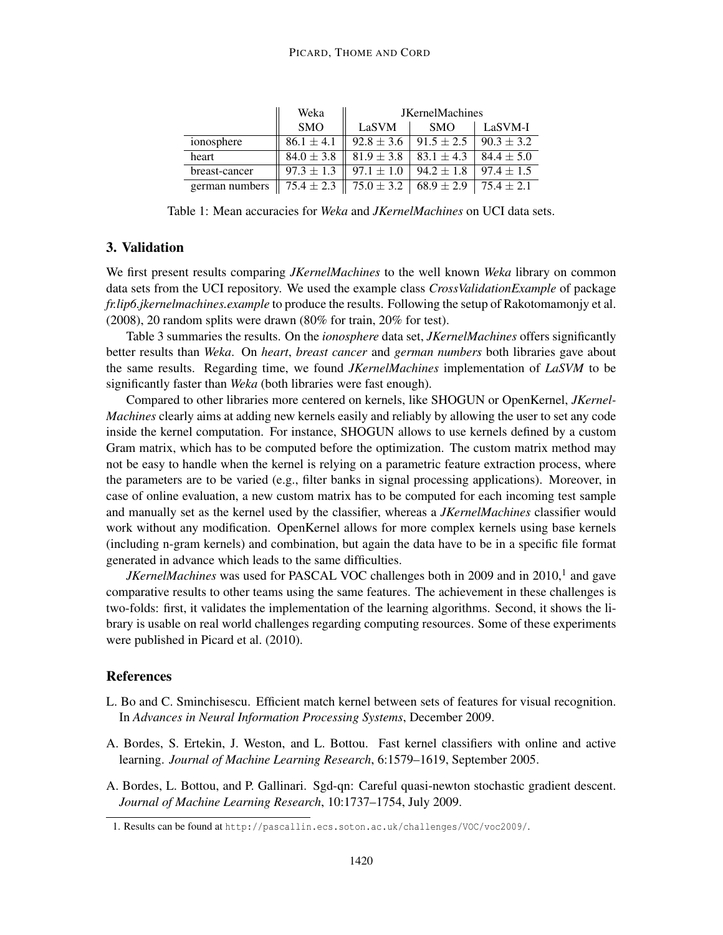#### PICARD, THOME AND CORD

|                | Weka           | <b>JKernelMachines</b> |                |                |
|----------------|----------------|------------------------|----------------|----------------|
|                | <b>SMO</b>     | LaSVM                  | <b>SMO</b>     | LaSVM-I        |
| ionosphere     | $86.1 \pm 4.1$ | $92.8 \pm 3.6$         | $91.5 \pm 2.5$ | $90.3 \pm 3.2$ |
| heart          | $84.0 \pm 3.8$ | $81.9 \pm 3.8$         | $83.1 \pm 4.3$ | $84.4 \pm 5.0$ |
| breast-cancer  | $97.3 \pm 1.3$ | $97.1 \pm 1.0$         | $94.2 \pm 1.8$ | $97.4 \pm 1.5$ |
| german numbers | $75.4 \pm 2.3$ | $75.0 \pm 3.2$         | $68.9 \pm 2.9$ | $75.4 \pm 2.1$ |

Table 1: Mean accuracies for *Weka* and *JKernelMachines* on UCI data sets.

# 3. Validation

We first present results comparing *JKernelMachines* to the well known *Weka* library on common data sets from the UCI repository. We used the example class *CrossValidationExample* of package *fr.lip6.jkernelmachines.example* to produce the results. Following the setup of Rakotomamonjy et al. (2008), 20 random splits were drawn (80% for train, 20% for test).

Table 3 summaries the results. On the *ionosphere* data set, *JKernelMachines* offers significantly better results than *Weka*. On *heart*, *breast cancer* and *german numbers* both libraries gave about the same results. Regarding time, we found *JKernelMachines* implementation of *LaSVM* to be significantly faster than *Weka* (both libraries were fast enough).

Compared to other libraries more centered on kernels, like SHOGUN or OpenKernel, *JKernel-Machines* clearly aims at adding new kernels easily and reliably by allowing the user to set any code inside the kernel computation. For instance, SHOGUN allows to use kernels defined by a custom Gram matrix, which has to be computed before the optimization. The custom matrix method may not be easy to handle when the kernel is relying on a parametric feature extraction process, where the parameters are to be varied (e.g., filter banks in signal processing applications). Moreover, in case of online evaluation, a new custom matrix has to be computed for each incoming test sample and manually set as the kernel used by the classifier, whereas a *JKernelMachines* classifier would work without any modification. OpenKernel allows for more complex kernels using base kernels (including n-gram kernels) and combination, but again the data have to be in a specific file format generated in advance which leads to the same difficulties.

*JKernelMachines* was used for PASCAL VOC challenges both in 2009 and in 2010,<sup>1</sup> and gave comparative results to other teams using the same features. The achievement in these challenges is two-folds: first, it validates the implementation of the learning algorithms. Second, it shows the library is usable on real world challenges regarding computing resources. Some of these experiments were published in Picard et al. (2010).

## **References**

- L. Bo and C. Sminchisescu. Efficient match kernel between sets of features for visual recognition. In *Advances in Neural Information Processing Systems*, December 2009.
- A. Bordes, S. Ertekin, J. Weston, and L. Bottou. Fast kernel classifiers with online and active learning. *Journal of Machine Learning Research*, 6:1579–1619, September 2005.
- A. Bordes, L. Bottou, and P. Gallinari. Sgd-qn: Careful quasi-newton stochastic gradient descent. *Journal of Machine Learning Research*, 10:1737–1754, July 2009.

<sup>1.</sup> Results can be found at http://pascallin.ecs.soton.ac.uk/challenges/VOC/voc2009/.